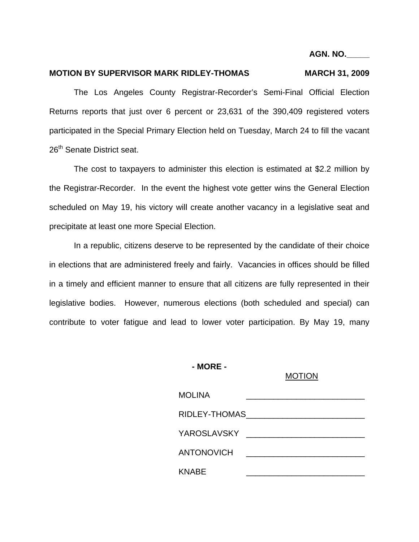**AGN. NO.\_\_\_\_\_** 

## MOTION BY SUPERVISOR MARK RIDLEY-THOMAS MARCH 31, 2009

The Los Angeles County Registrar-Recorder's Semi-Final Official Election Returns reports that just over 6 percent or 23,631 of the 390,409 registered voters participated in the Special Primary Election held on Tuesday, March 24 to fill the vacant 26<sup>th</sup> Senate District seat.

The cost to taxpayers to administer this election is estimated at \$2.2 million by the Registrar-Recorder. In the event the highest vote getter wins the General Election scheduled on May 19, his victory will create another vacancy in a legislative seat and precipitate at least one more Special Election.

In a republic, citizens deserve to be represented by the candidate of their choice in elections that are administered freely and fairly. Vacancies in offices should be filled in a timely and efficient manner to ensure that all citizens are fully represented in their legislative bodies. However, numerous elections (both scheduled and special) can contribute to voter fatigue and lead to lower voter participation. By May 19, many

#### **- MORE -**

### MOTION

| <b>MOLINA</b>                                                                                                  |
|----------------------------------------------------------------------------------------------------------------|
| RIDLEY-THOMAS AND THE MANUSCRIPT OF THE MANUSCRIPT OF THE MANUSCRIPT OF THE MANUSCRIPT OF THE MANUSCRIPT OF TH |
| YAROSLAVSKY ________________________                                                                           |
| <b>ANTONOVICH</b><br><u> 1980 - Andrea Aonaich ann an t-</u>                                                   |
| <b>KNABE</b>                                                                                                   |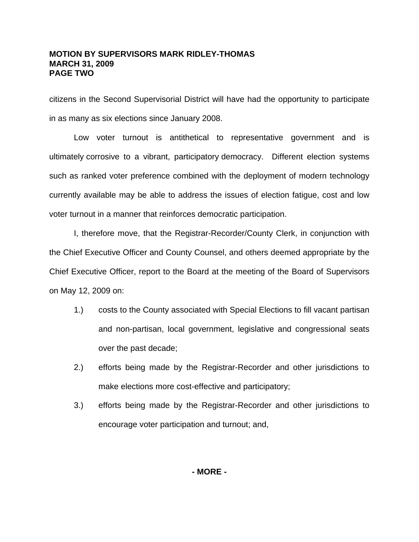## **MOTION BY SUPERVISORS MARK RIDLEY-THOMAS MARCH 31, 2009 PAGE TWO**

citizens in the Second Supervisorial District will have had the opportunity to participate in as many as six elections since January 2008.

Low voter turnout is antithetical to representative government and is ultimately corrosive to a vibrant, participatory democracy. Different election systems such as ranked voter preference combined with the deployment of modern technology currently available may be able to address the issues of election fatigue, cost and low voter turnout in a manner that reinforces democratic participation.

I, therefore move, that the Registrar-Recorder/County Clerk, in conjunction with the Chief Executive Officer and County Counsel, and others deemed appropriate by the Chief Executive Officer, report to the Board at the meeting of the Board of Supervisors on May 12, 2009 on:

- 1.) costs to the County associated with Special Elections to fill vacant partisan and non-partisan, local government, legislative and congressional seats over the past decade;
- 2.) efforts being made by the Registrar-Recorder and other jurisdictions to make elections more cost-effective and participatory;
- 3.) efforts being made by the Registrar-Recorder and other jurisdictions to encourage voter participation and turnout; and,

**- MORE -**